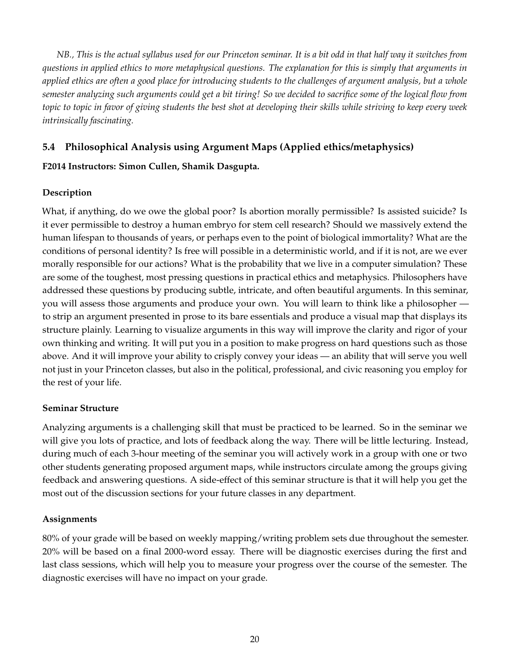*NB., This is the actual syllabus used for our Princeton seminar. It is a bit odd in that half way it switches from questions in applied ethics to more metaphysical questions. The explanation for this is simply that arguments in applied ethics are often a good place for introducing students to the challenges of argument analysis, but a whole semester analyzing such arguments could get a bit tiring! So we decided to sacrifice some of the logical flow from topic to topic in favor of giving students the best shot at developing their skills while striving to keep every week intrinsically fascinating.*

# **5.4 Philosophical Analysis using Argument Maps (Applied ethics/metaphysics)**

## **F2014 Instructors: Simon Cullen, Shamik Dasgupta.**

## **Description**

What, if anything, do we owe the global poor? Is abortion morally permissible? Is assisted suicide? Is it ever permissible to destroy a human embryo for stem cell research? Should we massively extend the human lifespan to thousands of years, or perhaps even to the point of biological immortality? What are the conditions of personal identity? Is free will possible in a deterministic world, and if it is not, are we ever morally responsible for our actions? What is the probability that we live in a computer simulation? These are some of the toughest, most pressing questions in practical ethics and metaphysics. Philosophers have addressed these questions by producing subtle, intricate, and often beautiful arguments. In this seminar, you will assess those arguments and produce your own. You will learn to think like a philosopher to strip an argument presented in prose to its bare essentials and produce a visual map that displays its structure plainly. Learning to visualize arguments in this way will improve the clarity and rigor of your own thinking and writing. It will put you in a position to make progress on hard questions such as those above. And it will improve your ability to crisply convey your ideas — an ability that will serve you well not just in your Princeton classes, but also in the political, professional, and civic reasoning you employ for the rest of your life.

## **Seminar Structure**

Analyzing arguments is a challenging skill that must be practiced to be learned. So in the seminar we will give you lots of practice, and lots of feedback along the way. There will be little lecturing. Instead, during much of each 3-hour meeting of the seminar you will actively work in a group with one or two other students generating proposed argument maps, while instructors circulate among the groups giving feedback and answering questions. A side-effect of this seminar structure is that it will help you get the most out of the discussion sections for your future classes in any department.

### **Assignments**

80% of your grade will be based on weekly mapping/writing problem sets due throughout the semester. 20% will be based on a final 2000-word essay. There will be diagnostic exercises during the first and last class sessions, which will help you to measure your progress over the course of the semester. The diagnostic exercises will have no impact on your grade.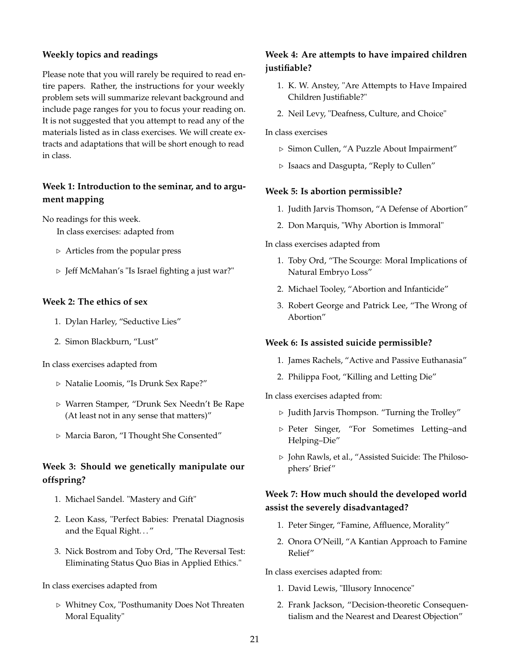### **Weekly topics and readings**

Please note that you will rarely be required to read entire papers. Rather, the instructions for your weekly problem sets will summarize relevant background and include page ranges for you to focus your reading on. It is not suggested that you attempt to read any of the materials listed as in class exercises. We will create extracts and adaptations that will be short enough to read in class.

# **Week 1: Introduction to the seminar, and to argument mapping**

No readings for this week.

In class exercises: adapted from

- $\triangleright$  Articles from the popular press
- $\triangleright$  Jeff McMahan's "Is Israel fighting a just war?"

### **Week 2: The ethics of sex**

- 1. Dylan Harley, "Seductive Lies"
- 2. Simon Blackburn, "Lust"

In class exercises adapted from

- . Natalie Loomis, "Is Drunk Sex Rape?"
- . Warren Stamper, "Drunk Sex Needn't Be Rape (At least not in any sense that matters)"
- . Marcia Baron, "I Thought She Consented"

# **Week 3: Should we genetically manipulate our offspring?**

- 1. Michael Sandel. "Mastery and Gift"
- 2. Leon Kass, "Perfect Babies: Prenatal Diagnosis and the Equal Right. . . "
- 3. Nick Bostrom and Toby Ord, "The Reversal Test: Eliminating Status Quo Bias in Applied Ethics."

#### In class exercises adapted from

 $\triangleright$  Whitney Cox, "Posthumanity Does Not Threaten Moral Equality"

# **Week 4: Are attempts to have impaired children justifiable?**

- 1. K. W. Anstey, "Are Attempts to Have Impaired Children Justifiable?"
- 2. Neil Levy, "Deafness, Culture, and Choice"

In class exercises

- . Simon Cullen, "A Puzzle About Impairment"
- $\triangleright$  Isaacs and Dasgupta, "Reply to Cullen"

#### **Week 5: Is abortion permissible?**

- 1. Judith Jarvis Thomson, "A Defense of Abortion"
- 2. Don Marquis, "Why Abortion is Immoral"

#### In class exercises adapted from

- 1. Toby Ord, "The Scourge: Moral Implications of Natural Embryo Loss"
- 2. Michael Tooley, "Abortion and Infanticide"
- 3. Robert George and Patrick Lee, "The Wrong of Abortion"

#### **Week 6: Is assisted suicide permissible?**

- 1. James Rachels, "Active and Passive Euthanasia"
- 2. Philippa Foot, "Killing and Letting Die"

#### In class exercises adapted from:

- $\triangleright$  Judith Jarvis Thompson. "Turning the Trolley"
- . Peter Singer, "For Sometimes Letting–and Helping–Die"
- . John Rawls, et al., "Assisted Suicide: The Philosophers' Brief"

## **Week 7: How much should the developed world assist the severely disadvantaged?**

- 1. Peter Singer, "Famine, Affluence, Morality"
- 2. Onora O'Neill, "A Kantian Approach to Famine Relief"

In class exercises adapted from:

- 1. David Lewis, "Illusory Innocence"
- 2. Frank Jackson, "Decision-theoretic Consequentialism and the Nearest and Dearest Objection"